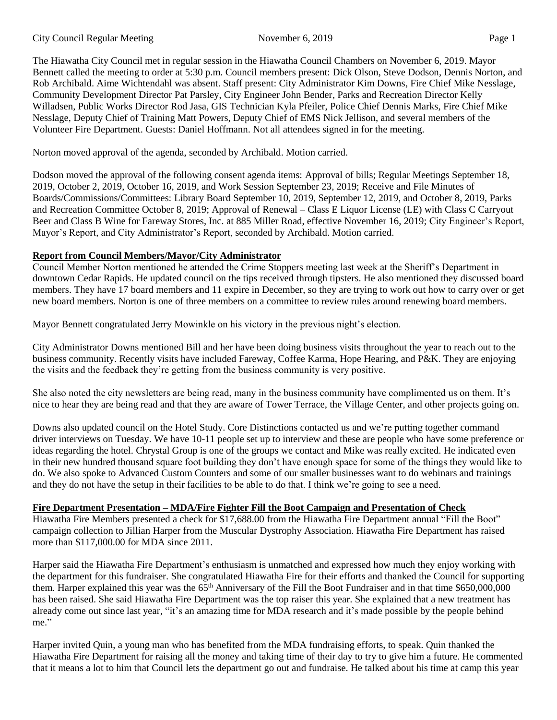The Hiawatha City Council met in regular session in the Hiawatha Council Chambers on November 6, 2019. Mayor Bennett called the meeting to order at 5:30 p.m. Council members present: Dick Olson, Steve Dodson, Dennis Norton, and Rob Archibald. Aime Wichtendahl was absent. Staff present: City Administrator Kim Downs, Fire Chief Mike Nesslage, Community Development Director Pat Parsley, City Engineer John Bender, Parks and Recreation Director Kelly Willadsen, Public Works Director Rod Jasa, GIS Technician Kyla Pfeiler, Police Chief Dennis Marks, Fire Chief Mike Nesslage, Deputy Chief of Training Matt Powers, Deputy Chief of EMS Nick Jellison, and several members of the Volunteer Fire Department. Guests: Daniel Hoffmann. Not all attendees signed in for the meeting.

Norton moved approval of the agenda, seconded by Archibald. Motion carried.

Dodson moved the approval of the following consent agenda items: Approval of bills; Regular Meetings September 18, 2019, October 2, 2019, October 16, 2019, and Work Session September 23, 2019; Receive and File Minutes of Boards/Commissions/Committees: Library Board September 10, 2019, September 12, 2019, and October 8, 2019, Parks and Recreation Committee October 8, 2019; Approval of Renewal – Class E Liquor License (LE) with Class C Carryout Beer and Class B Wine for Fareway Stores, Inc. at 885 Miller Road, effective November 16, 2019; City Engineer's Report, Mayor's Report, and City Administrator's Report, seconded by Archibald. Motion carried.

# **Report from Council Members/Mayor/City Administrator**

Council Member Norton mentioned he attended the Crime Stoppers meeting last week at the Sheriff's Department in downtown Cedar Rapids. He updated council on the tips received through tipsters. He also mentioned they discussed board members. They have 17 board members and 11 expire in December, so they are trying to work out how to carry over or get new board members. Norton is one of three members on a committee to review rules around renewing board members.

Mayor Bennett congratulated Jerry Mowinkle on his victory in the previous night's election.

City Administrator Downs mentioned Bill and her have been doing business visits throughout the year to reach out to the business community. Recently visits have included Fareway, Coffee Karma, Hope Hearing, and P&K. They are enjoying the visits and the feedback they're getting from the business community is very positive.

She also noted the city newsletters are being read, many in the business community have complimented us on them. It's nice to hear they are being read and that they are aware of Tower Terrace, the Village Center, and other projects going on.

Downs also updated council on the Hotel Study. Core Distinctions contacted us and we're putting together command driver interviews on Tuesday. We have 10-11 people set up to interview and these are people who have some preference or ideas regarding the hotel. Chrystal Group is one of the groups we contact and Mike was really excited. He indicated even in their new hundred thousand square foot building they don't have enough space for some of the things they would like to do. We also spoke to Advanced Custom Counters and some of our smaller businesses want to do webinars and trainings and they do not have the setup in their facilities to be able to do that. I think we're going to see a need.

### **Fire Department Presentation – MDA/Fire Fighter Fill the Boot Campaign and Presentation of Check**

Hiawatha Fire Members presented a check for \$17,688.00 from the Hiawatha Fire Department annual "Fill the Boot" campaign collection to Jillian Harper from the Muscular Dystrophy Association. Hiawatha Fire Department has raised more than \$117,000.00 for MDA since 2011.

Harper said the Hiawatha Fire Department's enthusiasm is unmatched and expressed how much they enjoy working with the department for this fundraiser. She congratulated Hiawatha Fire for their efforts and thanked the Council for supporting them. Harper explained this year was the  $65<sup>th</sup>$  Anniversary of the Fill the Boot Fundraiser and in that time \$650,000,000 has been raised. She said Hiawatha Fire Department was the top raiser this year. She explained that a new treatment has already come out since last year, "it's an amazing time for MDA research and it's made possible by the people behind me."

Harper invited Quin, a young man who has benefited from the MDA fundraising efforts, to speak. Quin thanked the Hiawatha Fire Department for raising all the money and taking time of their day to try to give him a future. He commented that it means a lot to him that Council lets the department go out and fundraise. He talked about his time at camp this year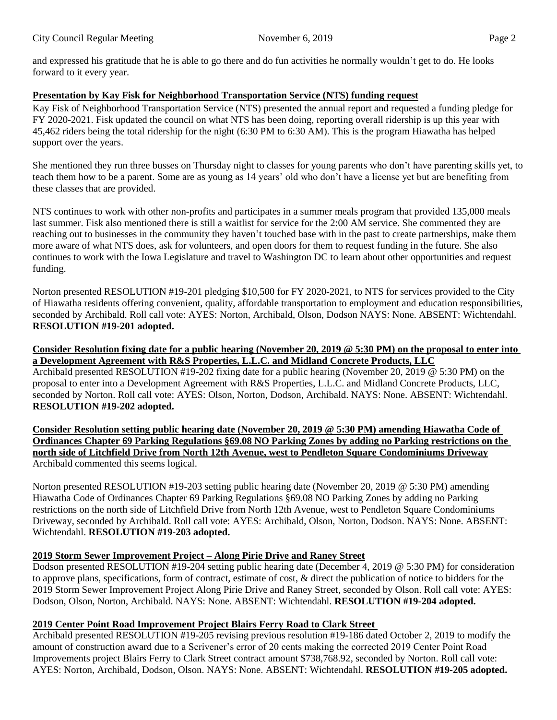and expressed his gratitude that he is able to go there and do fun activities he normally wouldn't get to do. He looks forward to it every year.

# **Presentation by Kay Fisk for Neighborhood Transportation Service (NTS) funding request**

Kay Fisk of Neighborhood Transportation Service (NTS) presented the annual report and requested a funding pledge for FY 2020-2021. Fisk updated the council on what NTS has been doing, reporting overall ridership is up this year with 45,462 riders being the total ridership for the night (6:30 PM to 6:30 AM). This is the program Hiawatha has helped support over the years.

She mentioned they run three busses on Thursday night to classes for young parents who don't have parenting skills yet, to teach them how to be a parent. Some are as young as 14 years' old who don't have a license yet but are benefiting from these classes that are provided.

NTS continues to work with other non-profits and participates in a summer meals program that provided 135,000 meals last summer. Fisk also mentioned there is still a waitlist for service for the 2:00 AM service. She commented they are reaching out to businesses in the community they haven't touched base with in the past to create partnerships, make them more aware of what NTS does, ask for volunteers, and open doors for them to request funding in the future. She also continues to work with the Iowa Legislature and travel to Washington DC to learn about other opportunities and request funding.

Norton presented RESOLUTION #19-201 pledging \$10,500 for FY 2020-2021, to NTS for services provided to the City of Hiawatha residents offering convenient, quality, affordable transportation to employment and education responsibilities, seconded by Archibald. Roll call vote: AYES: Norton, Archibald, Olson, Dodson NAYS: None. ABSENT: Wichtendahl. **RESOLUTION #19-201 adopted.**

#### **Consider Resolution fixing date for a public hearing (November 20, 2019 @ 5:30 PM) on the proposal to enter into a Development Agreement with R&S Properties, L.L.C. and Midland Concrete Products, LLC**

Archibald presented RESOLUTION #19-202 fixing date for a public hearing (November 20, 2019 @ 5:30 PM) on the proposal to enter into a Development Agreement with R&S Properties, L.L.C. and Midland Concrete Products, LLC, seconded by Norton. Roll call vote: AYES: Olson, Norton, Dodson, Archibald. NAYS: None. ABSENT: Wichtendahl. **RESOLUTION #19-202 adopted.**

**Consider Resolution setting public hearing date (November 20, 2019 @ 5:30 PM) amending Hiawatha Code of Ordinances Chapter 69 Parking Regulations §69.08 NO Parking Zones by adding no Parking restrictions on the north side of Litchfield Drive from North 12th Avenue, west to Pendleton Square Condominiums Driveway** Archibald commented this seems logical.

Norton presented RESOLUTION #19-203 setting public hearing date (November 20, 2019 @ 5:30 PM) amending Hiawatha Code of Ordinances Chapter 69 Parking Regulations §69.08 NO Parking Zones by adding no Parking restrictions on the north side of Litchfield Drive from North 12th Avenue, west to Pendleton Square Condominiums Driveway, seconded by Archibald. Roll call vote: AYES: Archibald, Olson, Norton, Dodson. NAYS: None. ABSENT: Wichtendahl. **RESOLUTION #19-203 adopted.**

# **2019 Storm Sewer Improvement Project – Along Pirie Drive and Raney Street**

Dodson presented RESOLUTION #19-204 setting public hearing date (December 4, 2019 @ 5:30 PM) for consideration to approve plans, specifications, form of contract, estimate of cost, & direct the publication of notice to bidders for the 2019 Storm Sewer Improvement Project Along Pirie Drive and Raney Street, seconded by Olson. Roll call vote: AYES: Dodson, Olson, Norton, Archibald. NAYS: None. ABSENT: Wichtendahl. **RESOLUTION #19-204 adopted.**

# **2019 Center Point Road Improvement Project Blairs Ferry Road to Clark Street**

Archibald presented RESOLUTION #19-205 revising previous resolution #19-186 dated October 2, 2019 to modify the amount of construction award due to a Scrivener's error of 20 cents making the corrected 2019 Center Point Road Improvements project Blairs Ferry to Clark Street contract amount \$738,768.92, seconded by Norton. Roll call vote: AYES: Norton, Archibald, Dodson, Olson. NAYS: None. ABSENT: Wichtendahl. **RESOLUTION #19-205 adopted.**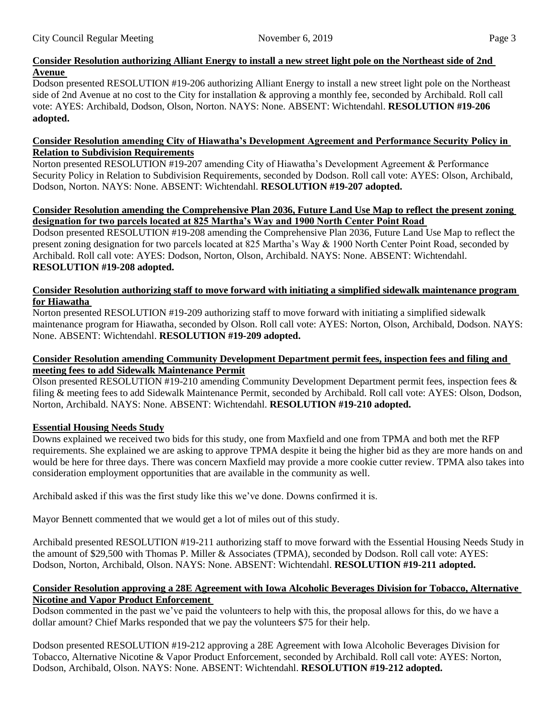# **Consider Resolution authorizing Alliant Energy to install a new street light pole on the Northeast side of 2nd Avenue**

Dodson presented RESOLUTION #19-206 authorizing Alliant Energy to install a new street light pole on the Northeast side of 2nd Avenue at no cost to the City for installation & approving a monthly fee, seconded by Archibald. Roll call vote: AYES: Archibald, Dodson, Olson, Norton. NAYS: None. ABSENT: Wichtendahl. **RESOLUTION #19-206 adopted.**

#### **Consider Resolution amending City of Hiawatha's Development Agreement and Performance Security Policy in Relation to Subdivision Requirements**

Norton presented RESOLUTION #19-207 amending City of Hiawatha's Development Agreement & Performance Security Policy in Relation to Subdivision Requirements, seconded by Dodson. Roll call vote: AYES: Olson, Archibald, Dodson, Norton. NAYS: None. ABSENT: Wichtendahl. **RESOLUTION #19-207 adopted.**

#### **Consider Resolution amending the Comprehensive Plan 2036, Future Land Use Map to reflect the present zoning designation for two parcels located at 825 Martha's Way and 1900 North Center Point Road**

Dodson presented RESOLUTION #19-208 amending the Comprehensive Plan 2036, Future Land Use Map to reflect the present zoning designation for two parcels located at 825 Martha's Way & 1900 North Center Point Road, seconded by Archibald. Roll call vote: AYES: Dodson, Norton, Olson, Archibald. NAYS: None. ABSENT: Wichtendahl. **RESOLUTION #19-208 adopted.**

#### **Consider Resolution authorizing staff to move forward with initiating a simplified sidewalk maintenance program for Hiawatha**

Norton presented RESOLUTION #19-209 authorizing staff to move forward with initiating a simplified sidewalk maintenance program for Hiawatha, seconded by Olson. Roll call vote: AYES: Norton, Olson, Archibald, Dodson. NAYS: None. ABSENT: Wichtendahl. **RESOLUTION #19-209 adopted.**

### **Consider Resolution amending Community Development Department permit fees, inspection fees and filing and meeting fees to add Sidewalk Maintenance Permit**

Olson presented RESOLUTION #19-210 amending Community Development Department permit fees, inspection fees & filing & meeting fees to add Sidewalk Maintenance Permit, seconded by Archibald. Roll call vote: AYES: Olson, Dodson, Norton, Archibald. NAYS: None. ABSENT: Wichtendahl. **RESOLUTION #19-210 adopted.**

# **Essential Housing Needs Study**

Downs explained we received two bids for this study, one from Maxfield and one from TPMA and both met the RFP requirements. She explained we are asking to approve TPMA despite it being the higher bid as they are more hands on and would be here for three days. There was concern Maxfield may provide a more cookie cutter review. TPMA also takes into consideration employment opportunities that are available in the community as well.

Archibald asked if this was the first study like this we've done. Downs confirmed it is.

Mayor Bennett commented that we would get a lot of miles out of this study.

Archibald presented RESOLUTION #19-211 authorizing staff to move forward with the Essential Housing Needs Study in the amount of \$29,500 with Thomas P. Miller & Associates (TPMA), seconded by Dodson. Roll call vote: AYES: Dodson, Norton, Archibald, Olson. NAYS: None. ABSENT: Wichtendahl. **RESOLUTION #19-211 adopted.**

# **Consider Resolution approving a 28E Agreement with Iowa Alcoholic Beverages Division for Tobacco, Alternative Nicotine and Vapor Product Enforcement**

Dodson commented in the past we've paid the volunteers to help with this, the proposal allows for this, do we have a dollar amount? Chief Marks responded that we pay the volunteers \$75 for their help.

Dodson presented RESOLUTION #19-212 approving a 28E Agreement with Iowa Alcoholic Beverages Division for Tobacco, Alternative Nicotine & Vapor Product Enforcement, seconded by Archibald. Roll call vote: AYES: Norton, Dodson, Archibald, Olson. NAYS: None. ABSENT: Wichtendahl. **RESOLUTION #19-212 adopted.**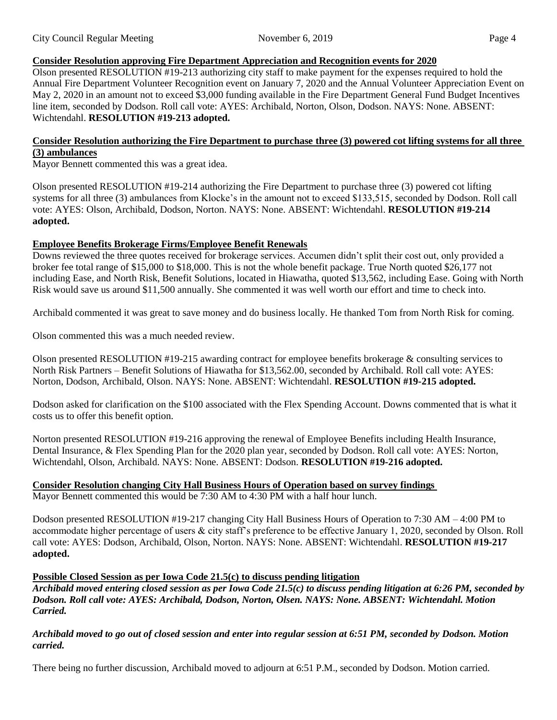# **Consider Resolution approving Fire Department Appreciation and Recognition events for 2020**

Olson presented RESOLUTION #19-213 authorizing city staff to make payment for the expenses required to hold the Annual Fire Department Volunteer Recognition event on January 7, 2020 and the Annual Volunteer Appreciation Event on May 2, 2020 in an amount not to exceed \$3,000 funding available in the Fire Department General Fund Budget Incentives line item, seconded by Dodson. Roll call vote: AYES: Archibald, Norton, Olson, Dodson. NAYS: None. ABSENT: Wichtendahl. **RESOLUTION #19-213 adopted.**

#### **Consider Resolution authorizing the Fire Department to purchase three (3) powered cot lifting systems for all three (3) ambulances**

Mayor Bennett commented this was a great idea.

Olson presented RESOLUTION #19-214 authorizing the Fire Department to purchase three (3) powered cot lifting systems for all three (3) ambulances from Klocke's in the amount not to exceed \$133,515, seconded by Dodson. Roll call vote: AYES: Olson, Archibald, Dodson, Norton. NAYS: None. ABSENT: Wichtendahl. **RESOLUTION #19-214 adopted.**

### **Employee Benefits Brokerage Firms/Employee Benefit Renewals**

Downs reviewed the three quotes received for brokerage services. Accumen didn't split their cost out, only provided a broker fee total range of \$15,000 to \$18,000. This is not the whole benefit package. True North quoted \$26,177 not including Ease, and North Risk, Benefit Solutions, located in Hiawatha, quoted \$13,562, including Ease. Going with North Risk would save us around \$11,500 annually. She commented it was well worth our effort and time to check into.

Archibald commented it was great to save money and do business locally. He thanked Tom from North Risk for coming.

Olson commented this was a much needed review.

Olson presented RESOLUTION #19-215 awarding contract for employee benefits brokerage & consulting services to North Risk Partners – Benefit Solutions of Hiawatha for \$13,562.00, seconded by Archibald. Roll call vote: AYES: Norton, Dodson, Archibald, Olson. NAYS: None. ABSENT: Wichtendahl. **RESOLUTION #19-215 adopted.**

Dodson asked for clarification on the \$100 associated with the Flex Spending Account. Downs commented that is what it costs us to offer this benefit option.

Norton presented RESOLUTION #19-216 approving the renewal of Employee Benefits including Health Insurance, Dental Insurance, & Flex Spending Plan for the 2020 plan year, seconded by Dodson. Roll call vote: AYES: Norton, Wichtendahl, Olson, Archibald. NAYS: None. ABSENT: Dodson. **RESOLUTION #19-216 adopted.**

### **Consider Resolution changing City Hall Business Hours of Operation based on survey findings**

Mayor Bennett commented this would be 7:30 AM to 4:30 PM with a half hour lunch.

Dodson presented RESOLUTION #19-217 changing City Hall Business Hours of Operation to 7:30 AM – 4:00 PM to accommodate higher percentage of users & city staff's preference to be effective January 1, 2020, seconded by Olson. Roll call vote: AYES: Dodson, Archibald, Olson, Norton. NAYS: None. ABSENT: Wichtendahl. **RESOLUTION #19-217 adopted.**

### **Possible Closed Session as per Iowa Code 21.5(c) to discuss pending litigation**

*Archibald moved entering closed session as per Iowa Code 21.5(c) to discuss pending litigation at 6:26 PM, seconded by Dodson. Roll call vote: AYES: Archibald, Dodson, Norton, Olsen. NAYS: None. ABSENT: Wichtendahl. Motion Carried.*

*Archibald moved to go out of closed session and enter into regular session at 6:51 PM, seconded by Dodson. Motion carried.*

There being no further discussion, Archibald moved to adjourn at 6:51 P.M., seconded by Dodson. Motion carried.